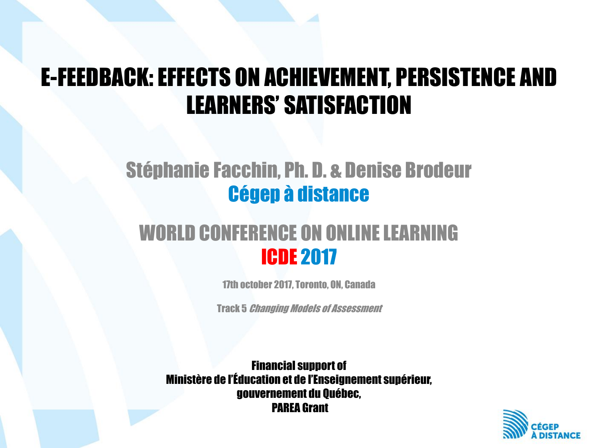#### E-FEEDBACK: EFFECTS ON ACHIEVEMENT, PERSISTENCE AND LEARNERS' SATISFACTION

#### Stéphanie Facchin, Ph. D. & Denise Brodeur Cégep à distance

#### WORLD CONFERENCE ON ONLINE LEARNING ICDE 2017

17th october 2017, Toronto, ON, Canada

Track 5 Changing Models of Assessment

Financial support of Ministère de l'Éducation et de l'Enseignement supérieur, gouvernement du Québec, PAREA Grant

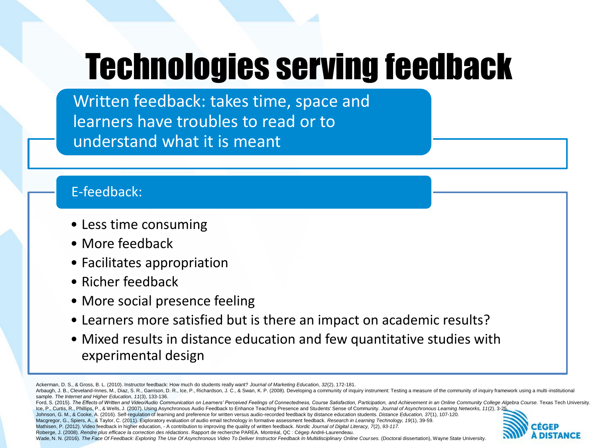# Technologies serving feedback

Written feedback: takes time, space and learners have troubles to read or to understand what it is meant

#### E-feedback:

- Less time consuming
- More feedback
- Facilitates appropriation
- Richer feedback
- More social presence feeling
- Learners more satisfied but is there an impact on academic results?
- Mixed results in distance education and few quantitative studies with experimental design

- Macgregor, G., Spiers, A., & Taylor, C. (2011). Exploratory evaluation of audio email technology in formative assessment feedback. *Research in Learning Technology, 19*(1), 39-59.
- Mathisen, P. (2012). Video feedback in higher education, A contribution to improving the quality of written feedback. *Nordic Journal of Digital Literacy, 7*(2), *93-117.*

Wade, N. N. (2016). The Face Of Feedback: Exploring The Use Of Asynchronous Video To Deliver Instructor Feedback In Multidisciplinary Online Courses. (Doctoral dissertation), Wayne State University.



Ackerman, D. S., & Gross, B. L. (2010). Instructor feedback: How much do students really want? *Journal of Marketing Education, 32*(2), 172-181.

Arbaugh, J. B., Cleveland-Innes, M., Diaz, S. R., Garrison, D. R., Ice, P., Richardson, J. C., & Swan, K. P. (2008). Developing a community of inquiry instrument: Testing a measure of the community of inquiry framework usi sample. *The Internet and Higher Education*, *11*(3), 133-136.

Ford, S. (2015). The Effects of Written and Video/Audio Communication on Learners' Perceived Feelings of Connectedness, Course Satisfaction, Participation, and Achievement in an Online Community College Algebra Course. Tex Ice, P., Curtis, R., Phillips, P., & Wells, J. (2007). Using Asynchronous Audio Feedback to Enhance Teaching Presence and Students' Sense of Community. Journal of Asynchronous Learning Networks, 11(2), 3-2

Johnson, G. M., & Cooke, A. (2016). Self-regulation of learning and preference for written versus audio-recorded feedback by distance education students. *Distance Education, 37*(1), 107-120.

Roberge, J. (2008). *Rendre plus efficace la correction des rédactions*. Rapport de recherche PAREA. Montréal, QC : Cégep André-Laurendeau.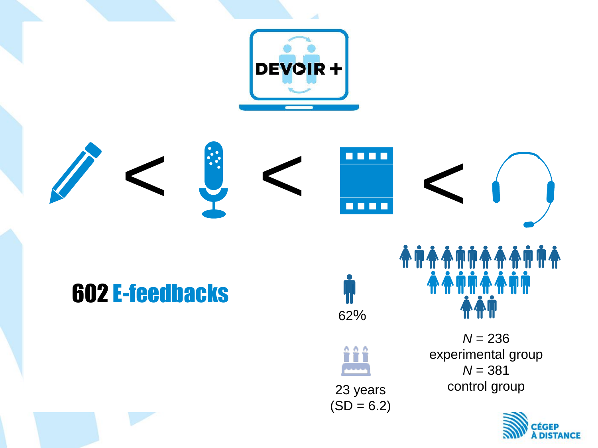

*N* = 236 experimental group *N* = 381 control group

**AAMMAAMM** 

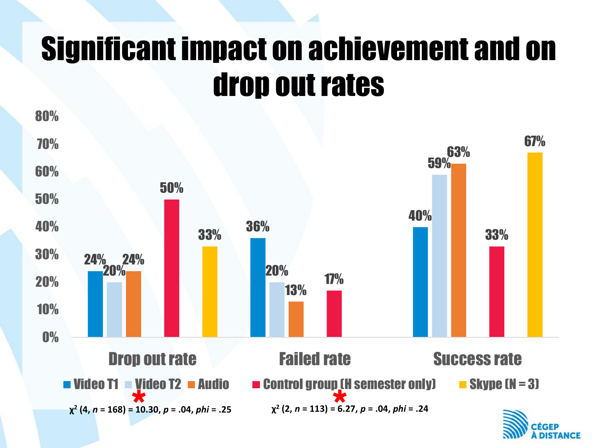### Significant impact on achievement and on drop out rates



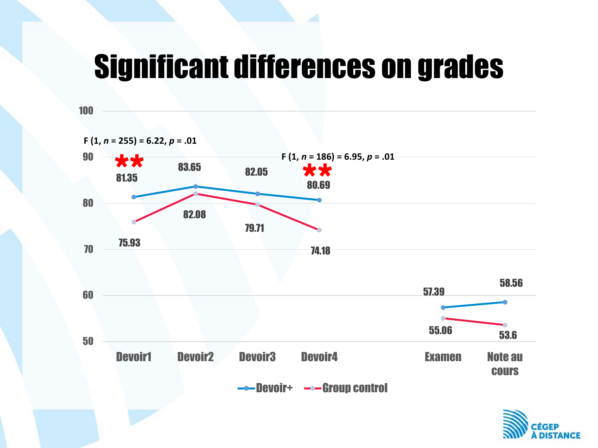#### Significant differences on grades

100



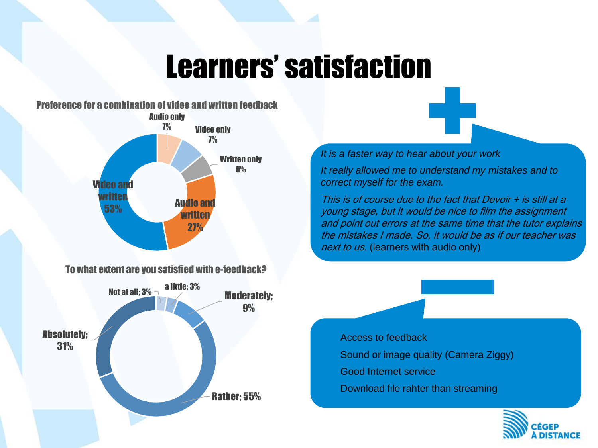### Learners' satisfaction



To what extent are you satisfied with e-feedback?



*It is a faster way to hear about your work*

*It really allowed me to understand my mistakes and to correct myself for the exam.*

This is of course due to the fact that Devoir + is still at a young stage, but it would be nice to film the assignment and point out errors at the same time that the tutor explains the mistakes I made. So, it would be as if our teacher was next to us. (learners with audio only)

Access to feedback Sound or image quality (Camera Ziggy) Good Internet service Download file rahter than streaming

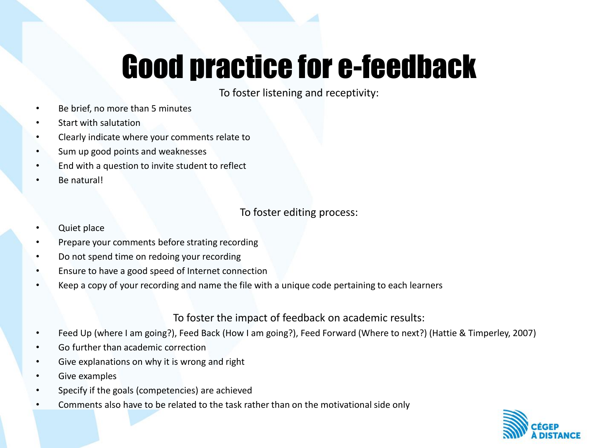## Good practice for e-feedback

To foster listening and receptivity:

- Be brief, no more than 5 minutes
- Start with salutation
- Clearly indicate where your comments relate to
- Sum up good points and weaknesses
- End with a question to invite student to reflect
- Be natural!

To foster editing process:

- Quiet place
- Prepare your comments before strating recording
- Do not spend time on redoing your recording
- Ensure to have a good speed of Internet connection
- Keep a copy of your recording and name the file with a unique code pertaining to each learners

To foster the impact of feedback on academic results:

- Feed Up (where I am going?), Feed Back (How I am going?), Feed Forward (Where to next?) (Hattie & Timperley, 2007)
- Go further than academic correction
- Give explanations on why it is wrong and right
- Give examples
- Specify if the goals (competencies) are achieved
- Comments also have to be related to the task rather than on the motivational side only

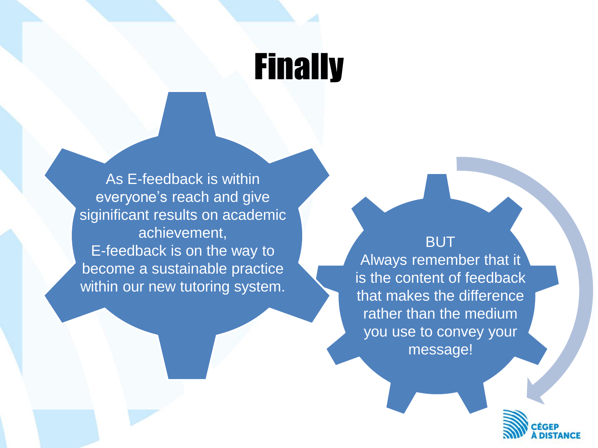### **Finally**

As E-feedback is within everyone's reach and give siginificant results on academic achievement, E-feedback is on the way to become a sustainable practice within our new tutoring system.

#### **BUT**

Always remember that it is the content of feedback that makes the difference rather than the medium you use to convey your message!